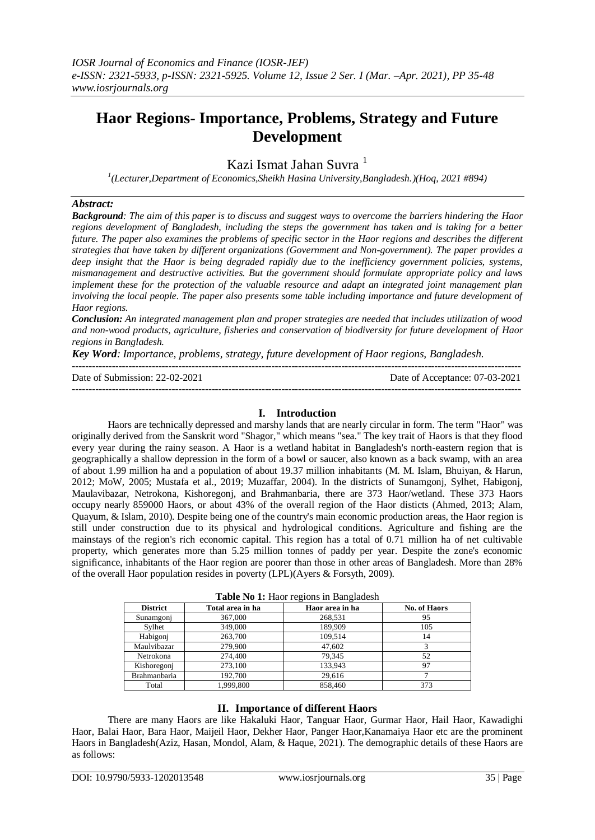# **Haor Regions- Importance, Problems, Strategy and Future Development**

Kazi Ismat Jahan Suvra<sup>1</sup>

*1 (Lecturer,Department of Economics,Sheikh Hasina University,Bangladesh.)(Hoq, 2021 #894)*

# *Abstract:*

*Background: The aim of this paper is to discuss and suggest ways to overcome the barriers hindering the Haor regions development of Bangladesh, including the steps the government has taken and is taking for a better future. The paper also examines the problems of specific sector in the Haor regions and describes the different strategies that have taken by different organizations (Government and Non-government). The paper provides a deep insight that the Haor is being degraded rapidly due to the inefficiency government policies, systems, mismanagement and destructive activities. But the government should formulate appropriate policy and laws implement these for the protection of the valuable resource and adapt an integrated joint management plan involving the local people. The paper also presents some table including importance and future development of Haor regions.*

*Conclusion: An integrated management plan and proper strategies are needed that includes utilization of wood and non-wood products, agriculture, fisheries and conservation of biodiversity for future development of Haor regions in Bangladesh.*

---------------------------------------------------------------------------------------------------------------------------------------

*Key Word: Importance, problems, strategy, future development of Haor regions, Bangladesh.*

Date of Submission: 22-

| Date of<br>bahasing asset<br>.<br>וויו<br>_____ | -200<br>Date,<br>ΩŤ<br>. . <b>.</b> |
|-------------------------------------------------|-------------------------------------|
|                                                 | ----                                |

# **I. Introduction**

Haors are technically depressed and marshy lands that are nearly circular in form. The term "Haor" was originally derived from the Sanskrit word "Shagor," which means "sea." The key trait of Haors is that they flood every year during the rainy season. A Haor is a wetland habitat in Bangladesh's north-eastern region that is geographically a shallow depression in the form of a bowl or saucer, also known as a back swamp, with an area of about 1.99 million ha and a population of about 19.37 million inhabitants (M. M. Islam, Bhuiyan, & Harun, 2012; MoW, 2005; Mustafa et al., 2019; Muzaffar, 2004). In the districts of Sunamgonj, Sylhet, Habigonj, Maulavibazar, Netrokona, Kishoregonj, and Brahmanbaria, there are 373 Haor/wetland. These 373 Haors occupy nearly 859000 Haors, or about 43% of the overall region of the Haor disticts (Ahmed, 2013; Alam, Quayum, & Islam, 2010). Despite being one of the country's main economic production areas, the Haor region is still under construction due to its physical and hydrological conditions. Agriculture and fishing are the mainstays of the region's rich economic capital. This region has a total of 0.71 million ha of net cultivable property, which generates more than 5.25 million tonnes of paddy per year. Despite the zone's economic significance, inhabitants of the Haor region are poorer than those in other areas of Bangladesh. More than 28% of the overall Haor population resides in poverty (LPL)(Ayers & Forsyth, 2009).

| <b>Table IND 1.</b> Have regions in Banglagesh |                  |                 |                     |  |  |
|------------------------------------------------|------------------|-----------------|---------------------|--|--|
| <b>District</b>                                | Total area in ha | Haor area in ha | <b>No. of Haors</b> |  |  |
| Sunamgonj                                      | 367,000          | 268,531         | 95                  |  |  |
| Svlhet                                         | 349,000          | 189.909         | 105                 |  |  |
| Habigoni                                       | 263,700          | 109,514         | 14                  |  |  |
| Maulvibazar                                    | 279,900          | 47,602          |                     |  |  |
| Netrokona                                      | 274,400          | 79.345          | 52                  |  |  |
| Kishoregonj                                    | 273,100          | 133,943         | 97                  |  |  |
| <b>Brahmanbaria</b>                            | 192.700          | 29.616          |                     |  |  |
| Total                                          | 1.999.800        | 858,460         | 373                 |  |  |

# **II. Importance of different Haors**

There are many Haors are like Hakaluki Haor, Tanguar Haor, Gurmar Haor, Hail Haor, Kawadighi Haor, Balai Haor, Bara Haor, Maijeil Haor, Dekher Haor, Panger Haor,Kanamaiya Haor etc are the prominent Haors in Bangladesh(Aziz, Hasan, Mondol, Alam, & Haque, 2021). The demographic details of these Haors are as follows: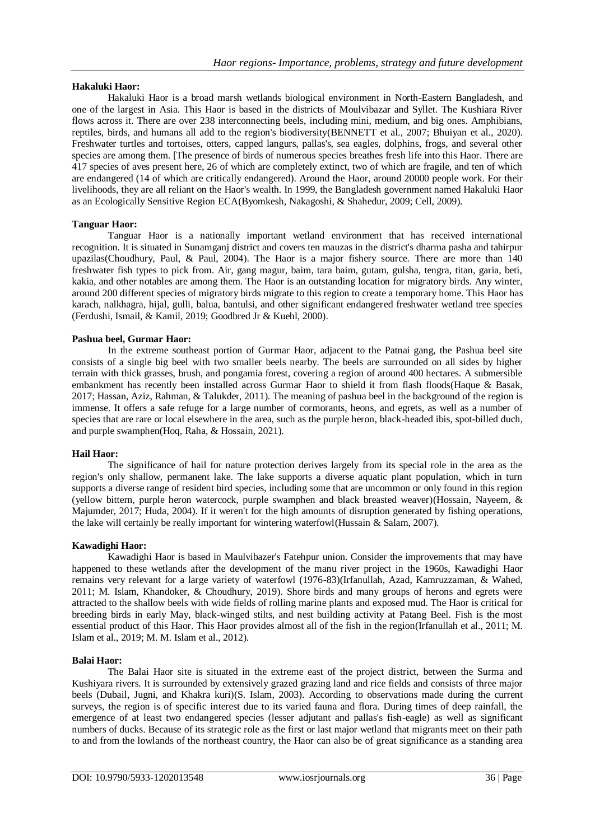# **Hakaluki Haor:**

Hakaluki Haor is a broad marsh wetlands biological environment in North-Eastern Bangladesh, and one of the largest in Asia. This Haor is based in the districts of Moulvibazar and Syllet. The Kushiara River flows across it. There are over 238 interconnecting beels, including mini, medium, and big ones. Amphibians, reptiles, birds, and humans all add to the region's biodiversity(BENNETT et al., 2007; Bhuiyan et al., 2020). Freshwater turtles and tortoises, otters, capped langurs, pallas's, sea eagles, dolphins, frogs, and several other species are among them. [The presence of birds of numerous species breathes fresh life into this Haor. There are 417 species of aves present here, 26 of which are completely extinct, two of which are fragile, and ten of which are endangered (14 of which are critically endangered). Around the Haor, around 20000 people work. For their livelihoods, they are all reliant on the Haor's wealth. In 1999, the Bangladesh government named Hakaluki Haor as an Ecologically Sensitive Region ECA(Byomkesh, Nakagoshi, & Shahedur, 2009; Cell, 2009).

# **Tanguar Haor:**

Tanguar Haor is a nationally important wetland environment that has received international recognition. It is situated in Sunamganj district and covers ten mauzas in the district's dharma pasha and tahirpur upazilas(Choudhury, Paul, & Paul, 2004). The Haor is a major fishery source. There are more than 140 freshwater fish types to pick from. Air, gang magur, baim, tara baim, gutam, gulsha, tengra, titan, garia, beti, kakia, and other notables are among them. The Haor is an outstanding location for migratory birds. Any winter, around 200 different species of migratory birds migrate to this region to create a temporary home. This Haor has karach, nalkhagra, hijal, gulli, balua, bantulsi, and other significant endangered freshwater wetland tree species (Ferdushi, Ismail, & Kamil, 2019; Goodbred Jr & Kuehl, 2000).

#### **Pashua beel, Gurmar Haor:**

In the extreme southeast portion of Gurmar Haor, adjacent to the Patnai gang, the Pashua beel site consists of a single big beel with two smaller beels nearby. The beels are surrounded on all sides by higher terrain with thick grasses, brush, and pongamia forest, covering a region of around 400 hectares. A submersible embankment has recently been installed across Gurmar Haor to shield it from flash floods(Haque & Basak, 2017; Hassan, Aziz, Rahman, & Talukder, 2011). The meaning of pashua beel in the background of the region is immense. It offers a safe refuge for a large number of cormorants, heons, and egrets, as well as a number of species that are rare or local elsewhere in the area, such as the purple heron, black-headed ibis, spot-billed duch, and purple swamphen(Hoq, Raha, & Hossain, 2021).

#### **Hail Haor:**

The significance of hail for nature protection derives largely from its special role in the area as the region's only shallow, permanent lake. The lake supports a diverse aquatic plant population, which in turn supports a diverse range of resident bird species, including some that are uncommon or only found in this region (yellow bittern, purple heron watercock, purple swamphen and black breasted weaver)(Hossain, Nayeem, & Majumder, 2017; Huda, 2004). If it weren't for the high amounts of disruption generated by fishing operations, the lake will certainly be really important for wintering waterfowl(Hussain & Salam, 2007).

#### **Kawadighi Haor:**

Kawadighi Haor is based in Maulvibazer's Fatehpur union. Consider the improvements that may have happened to these wetlands after the development of the manu river project in the 1960s, Kawadighi Haor remains very relevant for a large variety of waterfowl (1976-83)(Irfanullah, Azad, Kamruzzaman, & Wahed, 2011; M. Islam, Khandoker, & Choudhury, 2019). Shore birds and many groups of herons and egrets were attracted to the shallow beels with wide fields of rolling marine plants and exposed mud. The Haor is critical for breeding birds in early May, black-winged stilts, and nest building activity at Patang Beel. Fish is the most essential product of this Haor. This Haor provides almost all of the fish in the region(Irfanullah et al., 2011; M. Islam et al., 2019; M. M. Islam et al., 2012).

#### **Balai Haor:**

The Balai Haor site is situated in the extreme east of the project district, between the Surma and Kushiyara rivers. It is surrounded by extensively grazed grazing land and rice fields and consists of three major beels (Dubail, Jugni, and Khakra kuri)(S. Islam, 2003). According to observations made during the current surveys, the region is of specific interest due to its varied fauna and flora. During times of deep rainfall, the emergence of at least two endangered species (lesser adjutant and pallas's fish-eagle) as well as significant numbers of ducks. Because of its strategic role as the first or last major wetland that migrants meet on their path to and from the lowlands of the northeast country, the Haor can also be of great significance as a standing area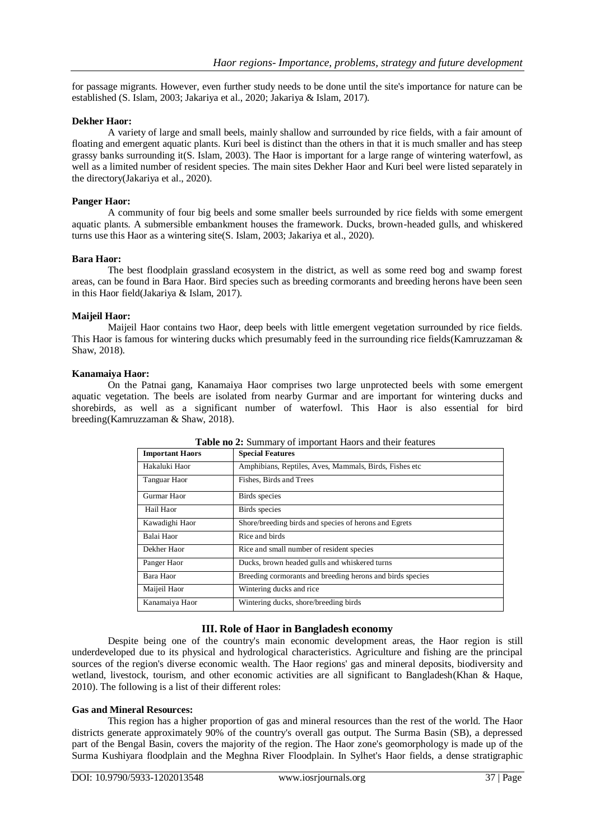for passage migrants. However, even further study needs to be done until the site's importance for nature can be established (S. Islam, 2003; Jakariya et al., 2020; Jakariya & Islam, 2017).

#### **Dekher Haor:**

A variety of large and small beels, mainly shallow and surrounded by rice fields, with a fair amount of floating and emergent aquatic plants. Kuri beel is distinct than the others in that it is much smaller and has steep grassy banks surrounding it(S. Islam, 2003). The Haor is important for a large range of wintering waterfowl, as well as a limited number of resident species. The main sites Dekher Haor and Kuri beel were listed separately in the directory(Jakariya et al., 2020).

## **Panger Haor:**

A community of four big beels and some smaller beels surrounded by rice fields with some emergent aquatic plants. A submersible embankment houses the framework. Ducks, brown-headed gulls, and whiskered turns use this Haor as a wintering site(S. Islam, 2003; Jakariya et al., 2020).

#### **Bara Haor:**

The best floodplain grassland ecosystem in the district, as well as some reed bog and swamp forest areas, can be found in Bara Haor. Bird species such as breeding cormorants and breeding herons have been seen in this Haor field(Jakariya & Islam, 2017).

# **Maijeil Haor:**

Maijeil Haor contains two Haor, deep beels with little emergent vegetation surrounded by rice fields. This Haor is famous for wintering ducks which presumably feed in the surrounding rice fields(Kamruzzaman & Shaw, 2018).

# **Kanamaiya Haor:**

On the Patnai gang, Kanamaiya Haor comprises two large unprotected beels with some emergent aquatic vegetation. The beels are isolated from nearby Gurmar and are important for wintering ducks and shorebirds, as well as a significant number of waterfowl. This Haor is also essential for bird breeding(Kamruzzaman & Shaw, 2018).

| <b>Important Haors</b> | <b>Special Features</b>                                   |
|------------------------|-----------------------------------------------------------|
| Hakaluki Haor          | Amphibians, Reptiles, Aves, Mammals, Birds, Fishes etc.   |
| Tanguar Haor           | Fishes, Birds and Trees                                   |
| Gurmar Haor            | Birds species                                             |
| Hail Haor              | Birds species                                             |
| Kawadighi Haor         | Shore/breeding birds and species of herons and Egrets     |
| Balai Haor             | Rice and birds                                            |
| Dekher Haor            | Rice and small number of resident species                 |
| Panger Haor            | Ducks, brown headed gulls and whiskered turns             |
| Bara Haor              | Breeding cormorants and breeding herons and birds species |
| Maijeil Haor           | Wintering ducks and rice                                  |
| Kanamaiya Haor         | Wintering ducks, shore/breeding birds                     |

**Table no 2:** Summary of important Haors and their features

# **III. Role of Haor in Bangladesh economy**

Despite being one of the country's main economic development areas, the Haor region is still underdeveloped due to its physical and hydrological characteristics. Agriculture and fishing are the principal sources of the region's diverse economic wealth. The Haor regions' gas and mineral deposits, biodiversity and wetland, livestock, tourism, and other economic activities are all significant to Bangladesh(Khan & Haque, 2010). The following is a list of their different roles:

#### **Gas and Mineral Resources:**

This region has a higher proportion of gas and mineral resources than the rest of the world. The Haor districts generate approximately 90% of the country's overall gas output. The Surma Basin (SB), a depressed part of the Bengal Basin, covers the majority of the region. The Haor zone's geomorphology is made up of the Surma Kushiyara floodplain and the Meghna River Floodplain. In Sylhet's Haor fields, a dense stratigraphic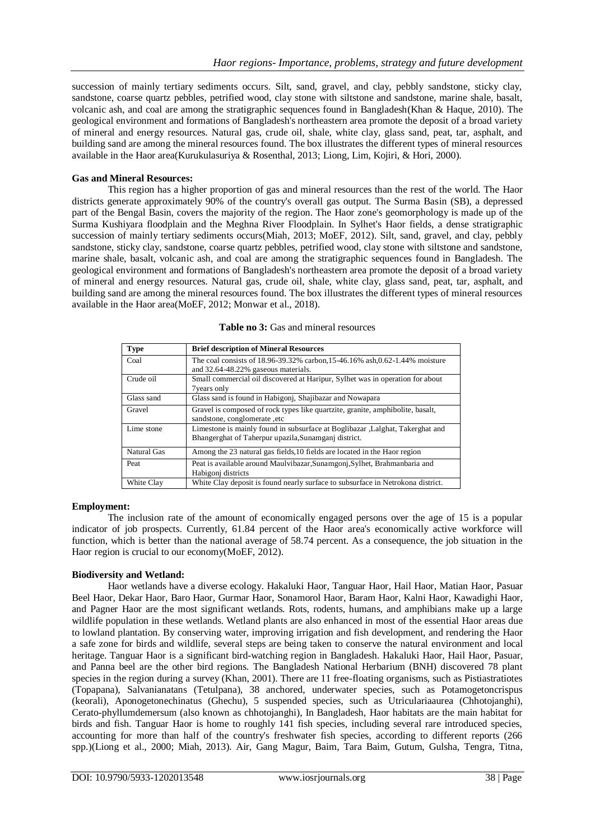succession of mainly tertiary sediments occurs. Silt, sand, gravel, and clay, pebbly sandstone, sticky clay, sandstone, coarse quartz pebbles, petrified wood, clay stone with siltstone and sandstone, marine shale, basalt, volcanic ash, and coal are among the stratigraphic sequences found in Bangladesh(Khan & Haque, 2010). The geological environment and formations of Bangladesh's northeastern area promote the deposit of a broad variety of mineral and energy resources. Natural gas, crude oil, shale, white clay, glass sand, peat, tar, asphalt, and building sand are among the mineral resources found. The box illustrates the different types of mineral resources available in the Haor area(Kurukulasuriya & Rosenthal, 2013; Liong, Lim, Kojiri, & Hori, 2000).

## **Gas and Mineral Resources:**

This region has a higher proportion of gas and mineral resources than the rest of the world. The Haor districts generate approximately 90% of the country's overall gas output. The Surma Basin (SB), a depressed part of the Bengal Basin, covers the majority of the region. The Haor zone's geomorphology is made up of the Surma Kushiyara floodplain and the Meghna River Floodplain. In Sylhet's Haor fields, a dense stratigraphic succession of mainly tertiary sediments occurs(Miah, 2013; MoEF, 2012). Silt, sand, gravel, and clay, pebbly sandstone, sticky clay, sandstone, coarse quartz pebbles, petrified wood, clay stone with siltstone and sandstone, marine shale, basalt, volcanic ash, and coal are among the stratigraphic sequences found in Bangladesh. The geological environment and formations of Bangladesh's northeastern area promote the deposit of a broad variety of mineral and energy resources. Natural gas, crude oil, shale, white clay, glass sand, peat, tar, asphalt, and building sand are among the mineral resources found. The box illustrates the different types of mineral resources available in the Haor area(MoEF, 2012; Monwar et al., 2018).

| <b>Type</b> | <b>Brief description of Mineral Resources</b>                                                                                          |
|-------------|----------------------------------------------------------------------------------------------------------------------------------------|
| Coal        | The coal consists of 18.96-39.32% carbon, 15-46.16% ash, 0.62-1.44% moisture<br>and 32.64-48.22% gaseous materials.                    |
| Crude oil   | Small commercial oil discovered at Haripur, Sylhet was in operation for about<br><b>7</b> years only                                   |
| Glass sand  | Glass sand is found in Habigoni, Shajibazar and Nowapara                                                                               |
| Gravel      | Gravel is composed of rock types like quartzite, granite, amphibolite, basalt,<br>sandstone, conglomerate, etc                         |
| Lime stone  | Limestone is mainly found in subsurface at Boglibazar , Lalghat, Takerghat and<br>Bhangerghat of Taherpur upazila, Sunamganj district. |
| Natural Gas | Among the 23 natural gas fields, 10 fields are located in the Haor region                                                              |
| Peat        | Peat is available around Maulyibazar, Sunamgoni, Sylhet, Brahmanbaria and<br>Habigoni districts                                        |
| White Clay  | White Clay deposit is found nearly surface to subsurface in Netrokona district.                                                        |

**Table no 3:** Gas and mineral resources

#### **Employment:**

The inclusion rate of the amount of economically engaged persons over the age of 15 is a popular indicator of job prospects. Currently, 61.84 percent of the Haor area's economically active workforce will function, which is better than the national average of 58.74 percent. As a consequence, the job situation in the Haor region is crucial to our economy(MoEF, 2012).

# **Biodiversity and Wetland:**

Haor wetlands have a diverse ecology. Hakaluki Haor, Tanguar Haor, Hail Haor, Matian Haor, Pasuar Beel Haor, Dekar Haor, Baro Haor, Gurmar Haor, Sonamorol Haor, Baram Haor, Kalni Haor, Kawadighi Haor, and Pagner Haor are the most significant wetlands. Rots, rodents, humans, and amphibians make up a large wildlife population in these wetlands. Wetland plants are also enhanced in most of the essential Haor areas due to lowland plantation. By conserving water, improving irrigation and fish development, and rendering the Haor a safe zone for birds and wildlife, several steps are being taken to conserve the natural environment and local heritage. Tanguar Haor is a significant bird-watching region in Bangladesh. Hakaluki Haor, Hail Haor, Pasuar, and Panna beel are the other bird regions. The Bangladesh National Herbarium (BNH) discovered 78 plant species in the region during a survey (Khan, 2001). There are 11 free-floating organisms, such as Pistiastratiotes (Topapana), Salvanianatans (Tetulpana), 38 anchored, underwater species, such as Potamogetoncrispus (keorali), Aponogetonechinatus (Ghechu), 5 suspended species, such as Utriculariaaurea (Chhotojanghi), Cerato-phyllumdemersum (also known as chhotojanghi), In Bangladesh, Haor habitats are the main habitat for birds and fish. Tanguar Haor is home to roughly 141 fish species, including several rare introduced species, accounting for more than half of the country's freshwater fish species, according to different reports (266 spp.)(Liong et al., 2000; Miah, 2013). Air, Gang Magur, Baim, Tara Baim, Gutum, Gulsha, Tengra, Titna,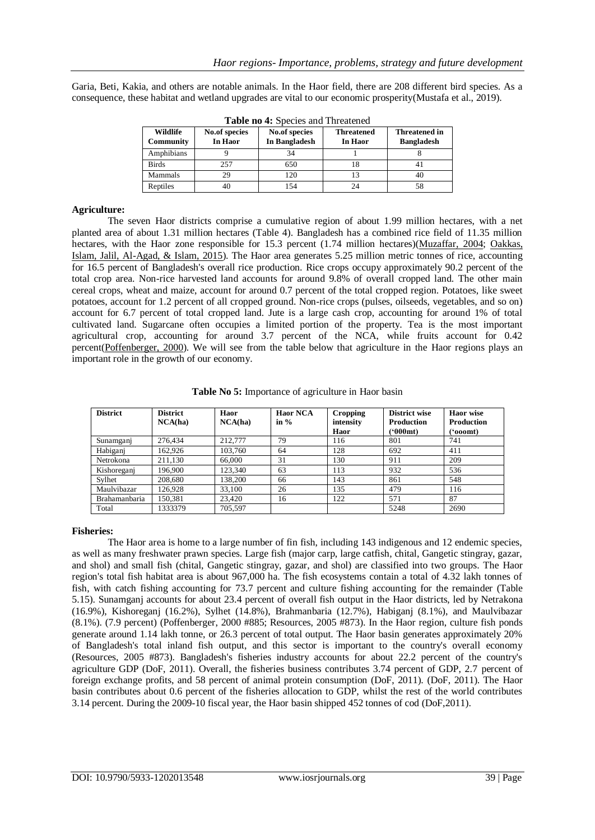Garia, Beti, Kakia, and others are notable animals. In the Haor field, there are 208 different bird species. As a consequence, these habitat and wetland upgrades are vital to our economic prosperity(Mustafa et al., 2019).

| Wildlife<br>Community | No.of species<br>In Haor | No.of species<br>In Bangladesh | <b>Threatened</b><br>In Haor | <b>Threatened in</b><br><b>Bangladesh</b> |
|-----------------------|--------------------------|--------------------------------|------------------------------|-------------------------------------------|
| Amphibians            |                          | 34                             |                              |                                           |
| <b>Birds</b>          | 257                      | 650                            | 18                           |                                           |
| Mammals               | 29                       | 120                            |                              | 40                                        |
| Reptiles              | 40                       | 154                            | 24                           | 58                                        |

**Table no 4:** Species and Threatened

# **Agriculture:**

The seven Haor districts comprise a cumulative region of about 1.99 million hectares, with a net planted area of about 1.31 million hectares (Table 4). Bangladesh has a combined rice field of 11.35 million hectares, with the Haor zone responsible for 15.3 percent (1.74 million hectares)(Muzaffar, 2004; Oakkas, Islam, Jalil, Al-Agad, & Islam, 2015). The Haor area generates 5.25 million metric tonnes of rice, accounting for 16.5 percent of Bangladesh's overall rice production. Rice crops occupy approximately 90.2 percent of the total crop area. Non-rice harvested land accounts for around 9.8% of overall cropped land. The other main cereal crops, wheat and maize, account for around 0.7 percent of the total cropped region. Potatoes, like sweet potatoes, account for 1.2 percent of all cropped ground. Non-rice crops (pulses, oilseeds, vegetables, and so on) account for 6.7 percent of total cropped land. Jute is a large cash crop, accounting for around 1% of total cultivated land. Sugarcane often occupies a limited portion of the property. Tea is the most important agricultural crop, accounting for around 3.7 percent of the NCA, while fruits account for 0.42 percent(Poffenberger, 2000). We will see from the table below that agriculture in the Haor regions plays an important role in the growth of our economy.

| <b>District</b> | <b>District</b><br>NCA(ha) | Haor<br>NCA(ha) | <b>Haor NCA</b><br>in $%$ | Cropping<br>intensity<br>Haor | District wise<br><b>Production</b><br>(*000mt) | Haor wise<br><b>Production</b><br>('ooomt) |
|-----------------|----------------------------|-----------------|---------------------------|-------------------------------|------------------------------------------------|--------------------------------------------|
| Sunamganj       | 276.434                    | 212,777         | 79                        | 116                           | 801                                            | 741                                        |
| Habigani        | 162.926                    | 103.760         | 64                        | 128                           | 692                                            | 411                                        |
| Netrokona       | 211.130                    | 66,000          | 31                        | 130                           | 911                                            | 209                                        |
| Kishoreganj     | 196,900                    | 123.340         | 63                        | 113                           | 932                                            | 536                                        |
| Sylhet          | 208,680                    | 138.200         | 66                        | 143                           | 861                                            | 548                                        |
| Maulvibazar     | 126.928                    | 33,100          | 26                        | 135                           | 479                                            | 116                                        |
| Brahamanbaria   | 150.381                    | 23,420          | 16                        | 122                           | 571                                            | 87                                         |
| Total           | 1333379                    | 705.597         |                           |                               | 5248                                           | 2690                                       |

**Table No 5:** Importance of agriculture in Haor basin

#### **Fisheries:**

The Haor area is home to a large number of fin fish, including 143 indigenous and 12 endemic species, as well as many freshwater prawn species. Large fish (major carp, large catfish, chital, Gangetic stingray, gazar, and shol) and small fish (chital, Gangetic stingray, gazar, and shol) are classified into two groups. The Haor region's total fish habitat area is about 967,000 ha. The fish ecosystems contain a total of 4.32 lakh tonnes of fish, with catch fishing accounting for 73.7 percent and culture fishing accounting for the remainder (Table 5.15). Sunamganj accounts for about 23.4 percent of overall fish output in the Haor districts, led by Netrakona (16.9%), Kishoreganj (16.2%), Sylhet (14.8%), Brahmanbaria (12.7%), Habiganj (8.1%), and Maulvibazar (8.1%). (7.9 percent) (Poffenberger, 2000 #885; Resources, 2005 #873). In the Haor region, culture fish ponds generate around 1.14 lakh tonne, or 26.3 percent of total output. The Haor basin generates approximately 20% of Bangladesh's total inland fish output, and this sector is important to the country's overall economy (Resources, 2005 #873). Bangladesh's fisheries industry accounts for about 22.2 percent of the country's agriculture GDP (DoF, 2011). Overall, the fisheries business contributes 3.74 percent of GDP, 2.7 percent of foreign exchange profits, and 58 percent of animal protein consumption (DoF, 2011). (DoF, 2011). The Haor basin contributes about 0.6 percent of the fisheries allocation to GDP, whilst the rest of the world contributes 3.14 percent. During the 2009-10 fiscal year, the Haor basin shipped 452 tonnes of cod (DoF,2011).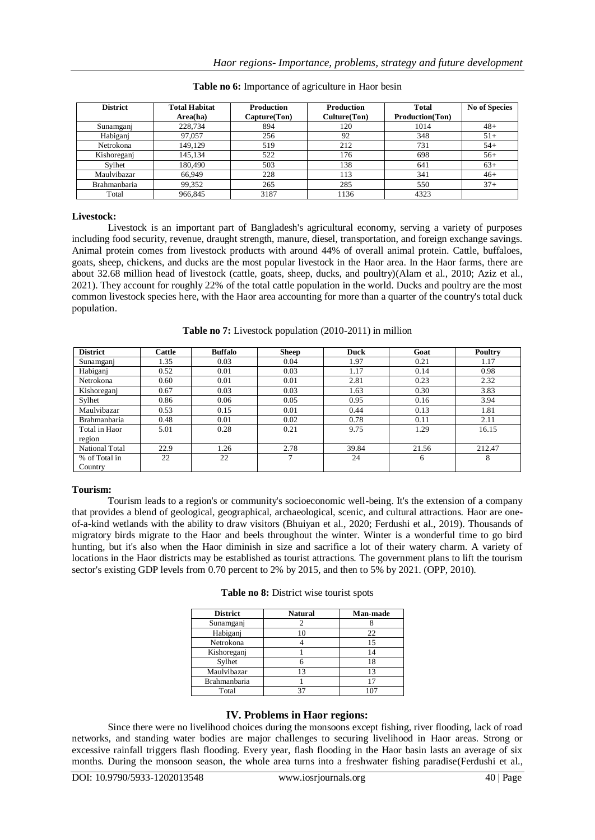| <b>District</b> | <b>Total Habitat</b><br>Area(ha) | <b>Production</b><br>Capture(Ton) | <b>Production</b><br>Culture(Ton) | <b>Total</b><br><b>Production(Ton)</b> | <b>No of Species</b> |
|-----------------|----------------------------------|-----------------------------------|-----------------------------------|----------------------------------------|----------------------|
| Sunamganj       | 228,734                          | 894                               | 120                               | 1014                                   | $48+$                |
| Habiganj        | 97,057                           | 256                               | 92                                | 348                                    | $51+$                |
| Netrokona       | 149.129                          | 519                               | 212                               | 731                                    | $54+$                |
| Kishoreganj     | 145.134                          | 522                               | 176                               | 698                                    | $56+$                |
| Sylhet          | 180,490                          | 503                               | 138                               | 641                                    | $63+$                |
| Maulvibazar     | 66.949                           | 228                               | 113                               | 341                                    | $46+$                |
| Brahmanbaria    | 99,352                           | 265                               | 285                               | 550                                    | $37+$                |
| Total           | 966.845                          | 3187                              | 1136                              | 4323                                   |                      |

**Table no 6:** Importance of agriculture in Haor besin

#### **Livestock:**

Livestock is an important part of Bangladesh's agricultural economy, serving a variety of purposes including food security, revenue, draught strength, manure, diesel, transportation, and foreign exchange savings. Animal protein comes from livestock products with around 44% of overall animal protein. Cattle, buffaloes, goats, sheep, chickens, and ducks are the most popular livestock in the Haor area. In the Haor farms, there are about 32.68 million head of livestock (cattle, goats, sheep, ducks, and poultry)(Alam et al., 2010; Aziz et al., 2021). They account for roughly 22% of the total cattle population in the world. Ducks and poultry are the most common livestock species here, with the Haor area accounting for more than a quarter of the country's total duck population.

**Table no 7:** Livestock population (2010-2011) in million

| <b>District</b>     | Cattle | <b>Buffalo</b> | <b>Sheep</b> | Duck  | Goat  | Poultry |
|---------------------|--------|----------------|--------------|-------|-------|---------|
| Sunamganj           | 1.35   | 0.03           | 0.04         | 1.97  | 0.21  | 1.17    |
| Habigani            | 0.52   | 0.01           | 0.03         | 1.17  | 0.14  | 0.98    |
| Netrokona           | 0.60   | 0.01           | 0.01         | 2.81  | 0.23  | 2.32    |
| Kishoreganj         | 0.67   | 0.03           | 0.03         | 1.63  | 0.30  | 3.83    |
| Sylhet              | 0.86   | 0.06           | 0.05         | 0.95  | 0.16  | 3.94    |
| Maulvibazar         | 0.53   | 0.15           | 0.01         | 0.44  | 0.13  | 1.81    |
| <b>Brahmanbaria</b> | 0.48   | 0.01           | 0.02         | 0.78  | 0.11  | 2.11    |
| Total in Haor       | 5.01   | 0.28           | 0.21         | 9.75  | 1.29  | 16.15   |
| region              |        |                |              |       |       |         |
| National Total      | 22.9   | 1.26           | 2.78         | 39.84 | 21.56 | 212.47  |
| % of Total in       | 22     | 22             | 7            | 24    | 6     | 8       |
| Country             |        |                |              |       |       |         |

#### **Tourism:**

Tourism leads to a region's or community's socioeconomic well-being. It's the extension of a company that provides a blend of geological, geographical, archaeological, scenic, and cultural attractions. Haor are oneof-a-kind wetlands with the ability to draw visitors (Bhuiyan et al., 2020; Ferdushi et al., 2019). Thousands of migratory birds migrate to the Haor and beels throughout the winter. Winter is a wonderful time to go bird hunting, but it's also when the Haor diminish in size and sacrifice a lot of their watery charm. A variety of locations in the Haor districts may be established as tourist attractions. The government plans to lift the tourism sector's existing GDP levels from 0.70 percent to 2% by 2015, and then to 5% by 2021. (OPP, 2010).

| <b>District</b>     | <b>Natural</b> | Man-made |
|---------------------|----------------|----------|
| Sunamganj           |                |          |
| Habiganj            |                | 22       |
| Netrokona           |                | 15       |
| Kishoreganj         |                | 14       |
| Sylhet              |                | 18       |
| Maulvibazar         | 13             | 13       |
| <b>Brahmanbaria</b> |                |          |
| Total               |                |          |

# **IV. Problems in Haor regions:**

Since there were no livelihood choices during the monsoons except fishing, river flooding, lack of road networks, and standing water bodies are major challenges to securing livelihood in Haor areas. Strong or excessive rainfall triggers flash flooding. Every year, flash flooding in the Haor basin lasts an average of six months. During the monsoon season, the whole area turns into a freshwater fishing paradise(Ferdushi et al.,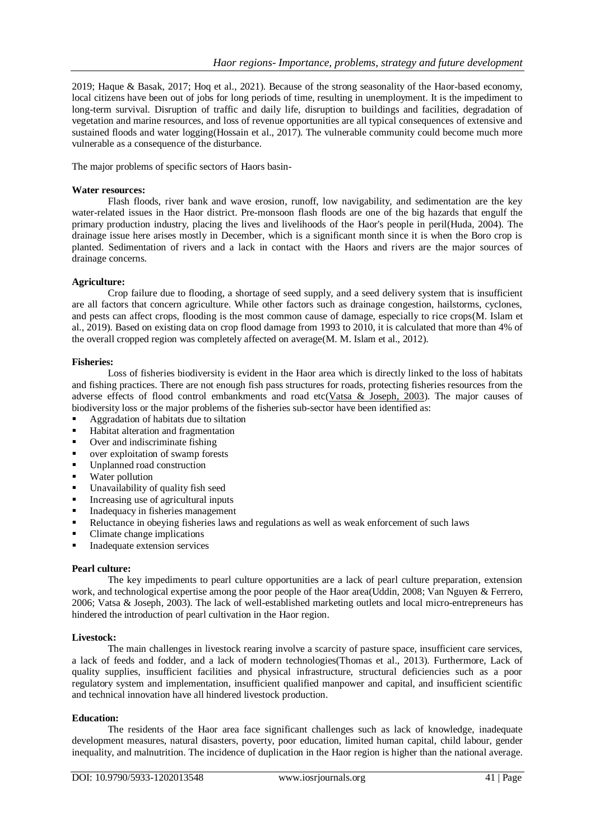2019; Haque & Basak, 2017; Hoq et al., 2021). Because of the strong seasonality of the Haor-based economy, local citizens have been out of jobs for long periods of time, resulting in unemployment. It is the impediment to long-term survival. Disruption of traffic and daily life, disruption to buildings and facilities, degradation of vegetation and marine resources, and loss of revenue opportunities are all typical consequences of extensive and sustained floods and water logging(Hossain et al., 2017). The vulnerable community could become much more vulnerable as a consequence of the disturbance.

The major problems of specific sectors of Haors basin-

## **Water resources:**

Flash floods, river bank and wave erosion, runoff, low navigability, and sedimentation are the key water-related issues in the Haor district. Pre-monsoon flash floods are one of the big hazards that engulf the primary production industry, placing the lives and livelihoods of the Haor's people in peril(Huda, 2004). The drainage issue here arises mostly in December, which is a significant month since it is when the Boro crop is planted. Sedimentation of rivers and a lack in contact with the Haors and rivers are the major sources of drainage concerns.

# **Agriculture:**

Crop failure due to flooding, a shortage of seed supply, and a seed delivery system that is insufficient are all factors that concern agriculture. While other factors such as drainage congestion, hailstorms, cyclones, and pests can affect crops, flooding is the most common cause of damage, especially to rice crops(M. Islam et al., 2019). Based on existing data on crop flood damage from 1993 to 2010, it is calculated that more than 4% of the overall cropped region was completely affected on average(M. M. Islam et al., 2012).

#### **Fisheries:**

Loss of fisheries biodiversity is evident in the Haor area which is directly linked to the loss of habitats and fishing practices. There are not enough fish pass structures for roads, protecting fisheries resources from the adverse effects of flood control embankments and road etc(Vatsa & Joseph, 2003). The major causes of biodiversity loss or the major problems of the fisheries sub-sector have been identified as:

- Aggradation of habitats due to siltation
- Habitat alteration and fragmentation
- Over and indiscriminate fishing
- over exploitation of swamp forests
- Unplanned road construction
- Water pollution
- Unavailability of quality fish seed
- Increasing use of agricultural inputs
- Inadequacy in fisheries management
- Reluctance in obeying fisheries laws and regulations as well as weak enforcement of such laws
- Climate change implications
- Inadequate extension services

#### **Pearl culture:**

The key impediments to pearl culture opportunities are a lack of pearl culture preparation, extension work, and technological expertise among the poor people of the Haor area(Uddin, 2008; Van Nguyen & Ferrero, 2006; Vatsa & Joseph, 2003). The lack of well-established marketing outlets and local micro-entrepreneurs has hindered the introduction of pearl cultivation in the Haor region.

#### **Livestock:**

The main challenges in livestock rearing involve a scarcity of pasture space, insufficient care services, a lack of feeds and fodder, and a lack of modern technologies(Thomas et al., 2013). Furthermore, Lack of quality supplies, insufficient facilities and physical infrastructure, structural deficiencies such as a poor regulatory system and implementation, insufficient qualified manpower and capital, and insufficient scientific and technical innovation have all hindered livestock production.

# **Education:**

The residents of the Haor area face significant challenges such as lack of knowledge, inadequate development measures, natural disasters, poverty, poor education, limited human capital, child labour, gender inequality, and malnutrition. The incidence of duplication in the Haor region is higher than the national average.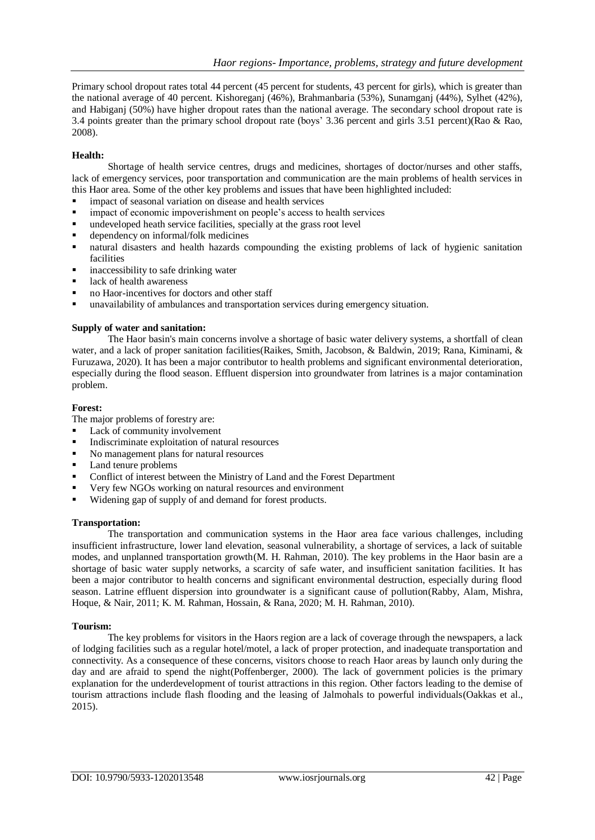Primary school dropout rates total 44 percent (45 percent for students, 43 percent for girls), which is greater than the national average of 40 percent. Kishoreganj (46%), Brahmanbaria (53%), Sunamganj (44%), Sylhet (42%), and Habiganj (50%) have higher dropout rates than the national average. The secondary school dropout rate is 3.4 points greater than the primary school dropout rate (boys' 3.36 percent and girls 3.51 percent)(Rao & Rao, 2008).

## **Health:**

Shortage of health service centres, drugs and medicines, shortages of doctor/nurses and other staffs, lack of emergency services, poor transportation and communication are the main problems of health services in this Haor area. Some of the other key problems and issues that have been highlighted included:

- impact of seasonal variation on disease and health services
- impact of economic impoverishment on people's access to health services
- undeveloped heath service facilities, specially at the grass root level
- dependency on informal/folk medicines
- natural disasters and health hazards compounding the existing problems of lack of hygienic sanitation facilities
- inaccessibility to safe drinking water
- lack of health awareness
- no Haor-incentives for doctors and other staff
- unavailability of ambulances and transportation services during emergency situation.

# **Supply of water and sanitation:**

The Haor basin's main concerns involve a shortage of basic water delivery systems, a shortfall of clean water, and a lack of proper sanitation facilities(Raikes, Smith, Jacobson, & Baldwin, 2019; Rana, Kiminami, & Furuzawa, 2020). It has been a major contributor to health problems and significant environmental deterioration, especially during the flood season. Effluent dispersion into groundwater from latrines is a major contamination problem.

# **Forest:**

The major problems of forestry are:

- Lack of community involvement
- Indiscriminate exploitation of natural resources
- No management plans for natural resources
- Land tenure problems
- Conflict of interest between the Ministry of Land and the Forest Department
- Very few NGOs working on natural resources and environment
- Widening gap of supply of and demand for forest products.

#### **Transportation:**

The transportation and communication systems in the Haor area face various challenges, including insufficient infrastructure, lower land elevation, seasonal vulnerability, a shortage of services, a lack of suitable modes, and unplanned transportation growth(M. H. Rahman, 2010). The key problems in the Haor basin are a shortage of basic water supply networks, a scarcity of safe water, and insufficient sanitation facilities. It has been a major contributor to health concerns and significant environmental destruction, especially during flood season. Latrine effluent dispersion into groundwater is a significant cause of pollution(Rabby, Alam, Mishra, Hoque, & Nair, 2011; K. M. Rahman, Hossain, & Rana, 2020; M. H. Rahman, 2010).

#### **Tourism:**

The key problems for visitors in the Haors region are a lack of coverage through the newspapers, a lack of lodging facilities such as a regular hotel/motel, a lack of proper protection, and inadequate transportation and connectivity. As a consequence of these concerns, visitors choose to reach Haor areas by launch only during the day and are afraid to spend the night(Poffenberger, 2000). The lack of government policies is the primary explanation for the underdevelopment of tourist attractions in this region. Other factors leading to the demise of tourism attractions include flash flooding and the leasing of Jalmohals to powerful individuals(Oakkas et al., 2015).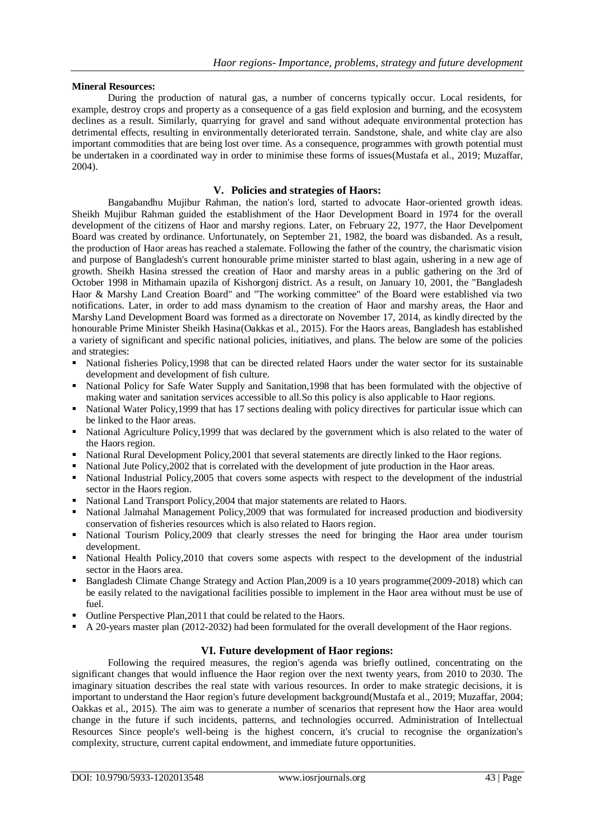# **Mineral Resources:**

During the production of natural gas, a number of concerns typically occur. Local residents, for example, destroy crops and property as a consequence of a gas field explosion and burning, and the ecosystem declines as a result. Similarly, quarrying for gravel and sand without adequate environmental protection has detrimental effects, resulting in environmentally deteriorated terrain. Sandstone, shale, and white clay are also important commodities that are being lost over time. As a consequence, programmes with growth potential must be undertaken in a coordinated way in order to minimise these forms of issues(Mustafa et al., 2019; Muzaffar, 2004).

# **V. Policies and strategies of Haors:**

Bangabandhu Mujibur Rahman, the nation's lord, started to advocate Haor-oriented growth ideas. Sheikh Mujibur Rahman guided the establishment of the Haor Development Board in 1974 for the overall development of the citizens of Haor and marshy regions. Later, on February 22, 1977, the Haor Develpoment Board was created by ordinance. Unfortunately, on September 21, 1982, the board was disbanded. As a result, the production of Haor areas has reached a stalemate. Following the father of the country, the charismatic vision and purpose of Bangladesh's current honourable prime minister started to blast again, ushering in a new age of growth. Sheikh Hasina stressed the creation of Haor and marshy areas in a public gathering on the 3rd of October 1998 in Mithamain upazila of Kishorgonj district. As a result, on January 10, 2001, the "Bangladesh Haor & Marshy Land Creation Board" and "The working committee" of the Board were established via two notifications. Later, in order to add mass dynamism to the creation of Haor and marshy areas, the Haor and Marshy Land Development Board was formed as a directorate on November 17, 2014, as kindly directed by the honourable Prime Minister Sheikh Hasina(Oakkas et al., 2015). For the Haors areas, Bangladesh has established a variety of significant and specific national policies, initiatives, and plans. The below are some of the policies and strategies:

- National fisheries Policy,1998 that can be directed related Haors under the water sector for its sustainable development and development of fish culture.
- National Policy for Safe Water Supply and Sanitation,1998 that has been formulated with the objective of making water and sanitation services accessible to all.So this policy is also applicable to Haor regions.
- National Water Policy, 1999 that has 17 sections dealing with policy directives for particular issue which can be linked to the Haor areas.
- National Agriculture Policy,1999 that was declared by the government which is also related to the water of the Haors region.
- National Rural Development Policy,2001 that several statements are directly linked to the Haor regions.
- National Jute Policy,2002 that is correlated with the development of jute production in the Haor areas.
- National Industrial Policy, 2005 that covers some aspects with respect to the development of the industrial sector in the Haors region.
- National Land Transport Policy, 2004 that major statements are related to Haors.
- National Jalmahal Management Policy,2009 that was formulated for increased production and biodiversity conservation of fisheries resources which is also related to Haors region.
- National Tourism Policy, 2009 that clearly stresses the need for bringing the Haor area under tourism development.
- National Health Policy, 2010 that covers some aspects with respect to the development of the industrial sector in the Haors area.
- Bangladesh Climate Change Strategy and Action Plan, 2009 is a 10 years programme(2009-2018) which can be easily related to the navigational facilities possible to implement in the Haor area without must be use of fuel.
- Outline Perspective Plan,2011 that could be related to the Haors.
- A 20-years master plan (2012-2032) had been formulated for the overall development of the Haor regions.

# **VI. Future development of Haor regions:**

Following the required measures, the region's agenda was briefly outlined, concentrating on the significant changes that would influence the Haor region over the next twenty years, from 2010 to 2030. The imaginary situation describes the real state with various resources. In order to make strategic decisions, it is important to understand the Haor region's future development background(Mustafa et al., 2019; Muzaffar, 2004; Oakkas et al., 2015). The aim was to generate a number of scenarios that represent how the Haor area would change in the future if such incidents, patterns, and technologies occurred. Administration of Intellectual Resources Since people's well-being is the highest concern, it's crucial to recognise the organization's complexity, structure, current capital endowment, and immediate future opportunities.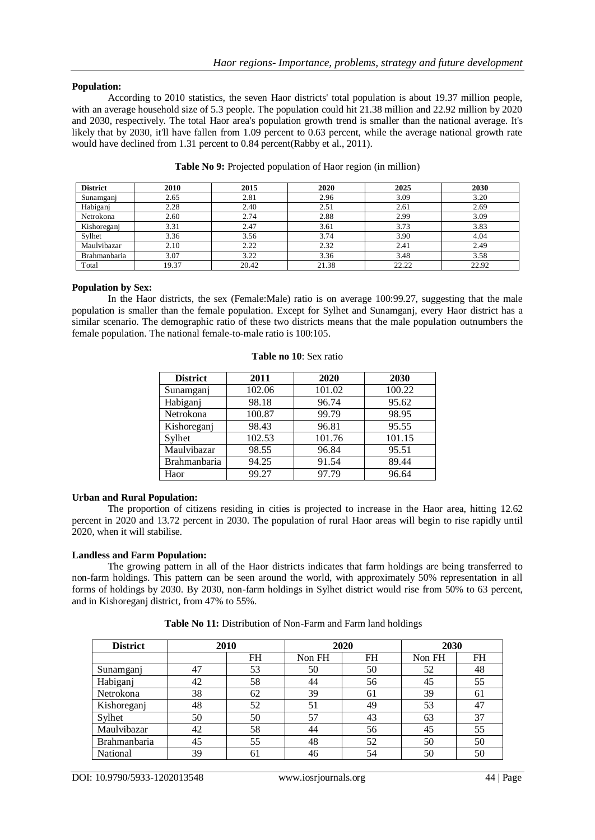# **Population:**

According to 2010 statistics, the seven Haor districts' total population is about 19.37 million people, with an average household size of 5.3 people. The population could hit 21.38 million and 22.92 million by 2020 and 2030, respectively. The total Haor area's population growth trend is smaller than the national average. It's likely that by 2030, it'll have fallen from 1.09 percent to 0.63 percent, while the average national growth rate would have declined from 1.31 percent to 0.84 percent(Rabby et al., 2011).

| <b>District</b> | 2010  | 2015  | 2020  | 2025  | 2030  |
|-----------------|-------|-------|-------|-------|-------|
| Sunamganj       | 2.65  | 2.81  | 2.96  | 3.09  | 3.20  |
| Habiganj        | 2.28  | 2.40  | 2.51  | 2.61  | 2.69  |
| Netrokona       | 2.60  | 2.74  | 2.88  | 2.99  | 3.09  |
| Kishoreganj     | 3.31  | 2.47  | 3.61  | 3.73  | 3.83  |
| Sylhet          | 3.36  | 3.56  | 3.74  | 3.90  | 4.04  |
| Maulvibazar     | 2.10  | 2.22  | 2.32  | 2.41  | 2.49  |
| Brahmanbaria    | 3.07  | 3.22  | 3.36  | 3.48  | 3.58  |
| Total           | 19.37 | 20.42 | 21.38 | 22.22 | 22.92 |

#### **Table No 9:** Projected population of Haor region (in million)

#### **Population by Sex:**

In the Haor districts, the sex (Female:Male) ratio is on average 100:99.27, suggesting that the male population is smaller than the female population. Except for Sylhet and Sunamganj, every Haor district has a similar scenario. The demographic ratio of these two districts means that the male population outnumbers the female population. The national female-to-male ratio is 100:105.

| <b>District</b> | 2011   | 2020   | 2030   |  |
|-----------------|--------|--------|--------|--|
| Sunamganj       | 102.06 | 101.02 | 100.22 |  |
| Habiganj        | 98.18  | 96.74  | 95.62  |  |
| Netrokona       | 100.87 | 99.79  | 98.95  |  |
| Kishoreganj     | 98.43  | 96.81  | 95.55  |  |
| Sylhet          | 102.53 | 101.76 | 101.15 |  |
| Maulvibazar     | 98.55  | 96.84  | 95.51  |  |
| Brahmanbaria    | 94.25  | 91.54  | 89.44  |  |
| Haor            | 99.27  | 97.79  | 96.64  |  |

#### **Table no 10**: Sex ratio

#### **Urban and Rural Population:**

The proportion of citizens residing in cities is projected to increase in the Haor area, hitting 12.62 percent in 2020 and 13.72 percent in 2030. The population of rural Haor areas will begin to rise rapidly until 2020, when it will stabilise.

#### **Landless and Farm Population:**

The growing pattern in all of the Haor districts indicates that farm holdings are being transferred to non-farm holdings. This pattern can be seen around the world, with approximately 50% representation in all forms of holdings by 2030. By 2030, non-farm holdings in Sylhet district would rise from 50% to 63 percent, and in Kishoreganj district, from 47% to 55%.

| <b>District</b>     | 2010 |           | 2020   |           | 2030   |           |
|---------------------|------|-----------|--------|-----------|--------|-----------|
|                     |      | <b>FH</b> | Non FH | <b>FH</b> | Non FH | <b>FH</b> |
| Sunamganj           | 47   | 53        | 50     | 50        | 52     | 48        |
| Habiganj            | 42   | 58        | 44     | 56        | 45     | 55        |
| Netrokona           | 38   | 62        | 39     | 61        | 39     | 61        |
| Kishoreganj         | 48   | 52        | 51     | 49        | 53     | 47        |
| Sylhet              | 50   | 50        | 57     | 43        | 63     | 37        |
| Maulvibazar         | 42   | 58        | 44     | 56        | 45     | 55        |
| <b>Brahmanbaria</b> | 45   | 55        | 48     | 52        | 50     | 50        |
| National            | 39   | 61        | 46     | 54        | 50     | 50        |

 **Table No 11:** Distribution of Non-Farm and Farm land holdings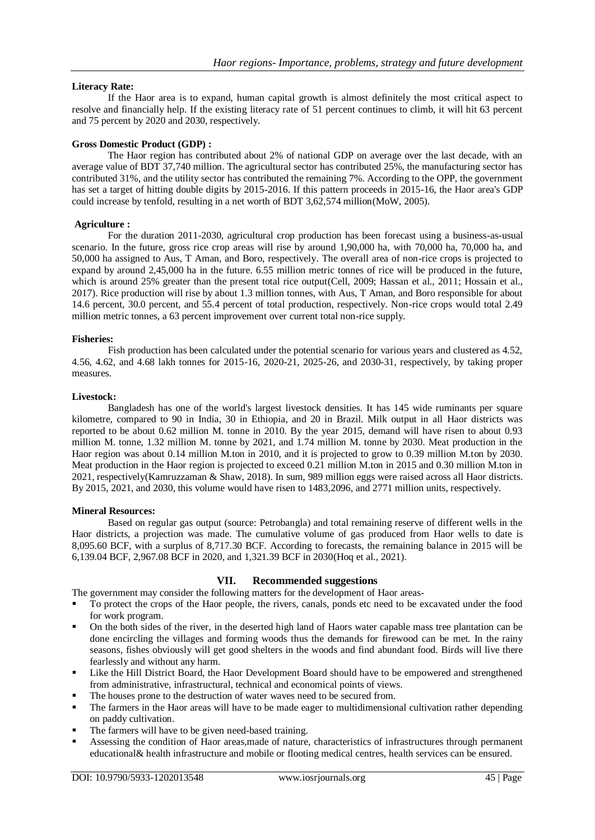## **Literacy Rate:**

If the Haor area is to expand, human capital growth is almost definitely the most critical aspect to resolve and financially help. If the existing literacy rate of 51 percent continues to climb, it will hit 63 percent and 75 percent by 2020 and 2030, respectively.

## **Gross Domestic Product (GDP) :**

The Haor region has contributed about 2% of national GDP on average over the last decade, with an average value of BDT 37,740 million. The agricultural sector has contributed 25%, the manufacturing sector has contributed 31%, and the utility sector has contributed the remaining 7%. According to the OPP, the government has set a target of hitting double digits by 2015-2016. If this pattern proceeds in 2015-16, the Haor area's GDP could increase by tenfold, resulting in a net worth of BDT 3,62,574 million(MoW, 2005).

#### **Agriculture :**

For the duration 2011-2030, agricultural crop production has been forecast using a business-as-usual scenario. In the future, gross rice crop areas will rise by around 1,90,000 ha, with 70,000 ha, 70,000 ha, and 50,000 ha assigned to Aus, T Aman, and Boro, respectively. The overall area of non-rice crops is projected to expand by around 2,45,000 ha in the future. 6.55 million metric tonnes of rice will be produced in the future, which is around 25% greater than the present total rice output(Cell, 2009; Hassan et al., 2011; Hossain et al., 2017). Rice production will rise by about 1.3 million tonnes, with Aus, T Aman, and Boro responsible for about 14.6 percent, 30.0 percent, and 55.4 percent of total production, respectively. Non-rice crops would total 2.49 million metric tonnes, a 63 percent improvement over current total non-rice supply.

#### **Fisheries:**

Fish production has been calculated under the potential scenario for various years and clustered as 4.52, 4.56, 4.62, and 4.68 lakh tonnes for 2015-16, 2020-21, 2025-26, and 2030-31, respectively, by taking proper measures.

#### **Livestock:**

Bangladesh has one of the world's largest livestock densities. It has 145 wide ruminants per square kilometre, compared to 90 in India, 30 in Ethiopia, and 20 in Brazil. Milk output in all Haor districts was reported to be about 0.62 million M. tonne in 2010. By the year 2015, demand will have risen to about 0.93 million M. tonne, 1.32 million M. tonne by 2021, and 1.74 million M. tonne by 2030. Meat production in the Haor region was about 0.14 million M.ton in 2010, and it is projected to grow to 0.39 million M.ton by 2030. Meat production in the Haor region is projected to exceed 0.21 million M.ton in 2015 and 0.30 million M.ton in 2021, respectively(Kamruzzaman & Shaw, 2018). In sum, 989 million eggs were raised across all Haor districts. By 2015, 2021, and 2030, this volume would have risen to 1483,2096, and 2771 million units, respectively.

#### **Mineral Resources:**

Based on regular gas output (source: Petrobangla) and total remaining reserve of different wells in the Haor districts, a projection was made. The cumulative volume of gas produced from Haor wells to date is 8,095.60 BCF, with a surplus of 8,717.30 BCF. According to forecasts, the remaining balance in 2015 will be 6,139.04 BCF, 2,967.08 BCF in 2020, and 1,321.39 BCF in 2030(Hoq et al., 2021).

#### **VII. Recommended suggestions**

The government may consider the following matters for the development of Haor areas-

- To protect the crops of the Haor people, the rivers, canals, ponds etc need to be excavated under the food for work program.
- On the both sides of the river, in the deserted high land of Haors water capable mass tree plantation can be done encircling the villages and forming woods thus the demands for firewood can be met. In the rainy seasons, fishes obviously will get good shelters in the woods and find abundant food. Birds will live there fearlessly and without any harm.
- Like the Hill District Board, the Haor Development Board should have to be empowered and strengthened from administrative, infrastructural, technical and economical points of views.
- The houses prone to the destruction of water waves need to be secured from.
- The farmers in the Haor areas will have to be made eager to multidimensional cultivation rather depending on paddy cultivation.
- The farmers will have to be given need-based training.
- Assessing the condition of Haor areas,made of nature, characteristics of infrastructures through permanent educational& health infrastructure and mobile or flooting medical centres, health services can be ensured.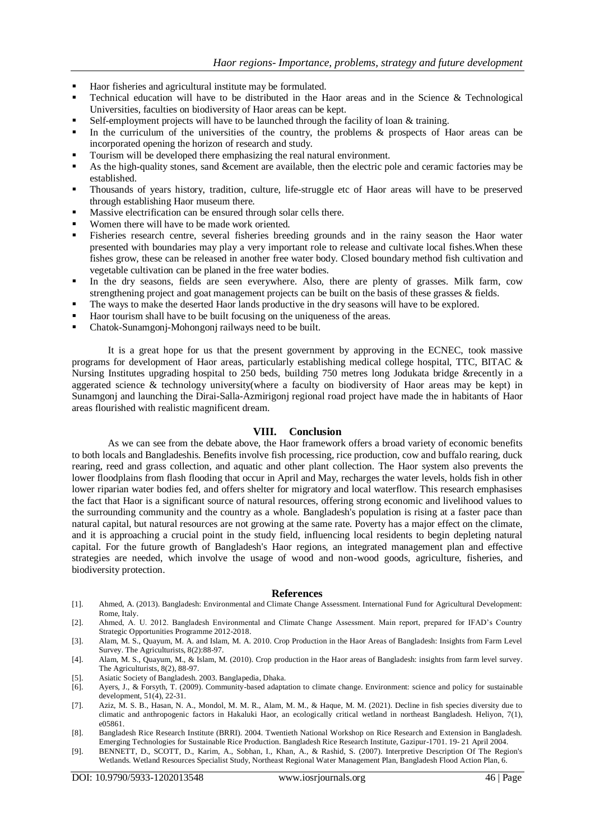- Haor fisheries and agricultural institute may be formulated.
- Technical education will have to be distributed in the Haor areas and in the Science & Technological Universities, faculties on biodiversity of Haor areas can be kept.
- Self-employment projects will have to be launched through the facility of loan & training.
- In the curriculum of the universities of the country, the problems & prospects of Haor areas can be incorporated opening the horizon of research and study.
- Tourism will be developed there emphasizing the real natural environment.
- As the high-quality stones, sand &cement are available, then the electric pole and ceramic factories may be established.
- Thousands of years history, tradition, culture, life-struggle etc of Haor areas will have to be preserved through establishing Haor museum there.
- Massive electrification can be ensured through solar cells there.
- Women there will have to be made work oriented.
- Fisheries research centre, several fisheries breeding grounds and in the rainy season the Haor water presented with boundaries may play a very important role to release and cultivate local fishes.When these fishes grow, these can be released in another free water body. Closed boundary method fish cultivation and vegetable cultivation can be planed in the free water bodies.
- In the dry seasons, fields are seen everywhere. Also, there are plenty of grasses. Milk farm, cow strengthening project and goat management projects can be built on the basis of these grasses & fields.
- The ways to make the deserted Haor lands productive in the dry seasons will have to be explored.
- Haor tourism shall have to be built focusing on the uniqueness of the areas.
- Chatok-Sunamgonj-Mohongonj railways need to be built.

It is a great hope for us that the present government by approving in the ECNEC, took massive programs for development of Haor areas, particularly establishing medical college hospital, TTC, BITAC & Nursing Institutes upgrading hospital to 250 beds, building 750 metres long Jodukata bridge &recently in a aggerated science & technology university(where a faculty on biodiversity of Haor areas may be kept) in Sunamgonj and launching the Dirai-Salla-Azmirigonj regional road project have made the in habitants of Haor areas flourished with realistic magnificent dream.

## **VIII. Conclusion**

As we can see from the debate above, the Haor framework offers a broad variety of economic benefits to both locals and Bangladeshis. Benefits involve fish processing, rice production, cow and buffalo rearing, duck rearing, reed and grass collection, and aquatic and other plant collection. The Haor system also prevents the lower floodplains from flash flooding that occur in April and May, recharges the water levels, holds fish in other lower riparian water bodies fed, and offers shelter for migratory and local waterflow. This research emphasises the fact that Haor is a significant source of natural resources, offering strong economic and livelihood values to the surrounding community and the country as a whole. Bangladesh's population is rising at a faster pace than natural capital, but natural resources are not growing at the same rate. Poverty has a major effect on the climate, and it is approaching a crucial point in the study field, influencing local residents to begin depleting natural capital. For the future growth of Bangladesh's Haor regions, an integrated management plan and effective strategies are needed, which involve the usage of wood and non-wood goods, agriculture, fisheries, and biodiversity protection.

#### **References**

- [1]. Ahmed, A. (2013). Bangladesh: Environmental and Climate Change Assessment. International Fund for Agricultural Development: Rome, Italy.
- [2]. Ahmed, A. U. 2012. Bangladesh Environmental and Climate Change Assessment. Main report, prepared for IFAD's Country Strategic Opportunities Programme 2012-2018.
- [3]. Alam, M. S., Quayum, M. A. and Islam, M. A. 2010. Crop Production in the Haor Areas of Bangladesh: Insights from Farm Level Survey. The Agriculturists, 8(2):88-97.
- [4]. Alam, M. S., Quayum, M., & Islam, M. (2010). Crop production in the Haor areas of Bangladesh: insights from farm level survey. The Agriculturists, 8(2), 88-97.
- [5]. Asiatic Society of Bangladesh. 2003. Banglapedia, Dhaka.
- [6]. Ayers, J., & Forsyth, T. (2009). Community-based adaptation to climate change. Environment: science and policy for sustainable development, 51(4), 22-31.
- [7]. Aziz, M. S. B., Hasan, N. A., Mondol, M. M. R., Alam, M. M., & Haque, M. M. (2021). Decline in fish species diversity due to climatic and anthropogenic factors in Hakaluki Haor, an ecologically critical wetland in northeast Bangladesh. Heliyon, 7(1), e05861.
- [8]. Bangladesh Rice Research Institute (BRRI). 2004. Twentieth National Workshop on Rice Research and Extension in Bangladesh. Emerging Technologies for Sustainable Rice Production. Bangladesh Rice Research Institute, Gazipur-1701. 19- 21 April 2004.
- [9]. BENNETT, D., SCOTT, D., Karim, A., Sobhan, I., Khan, A., & Rashid, S. (2007). Interpretive Description Of The Region's Wetlands. Wetland Resources Specialist Study, Northeast Regional Water Management Plan, Bangladesh Flood Action Plan, 6.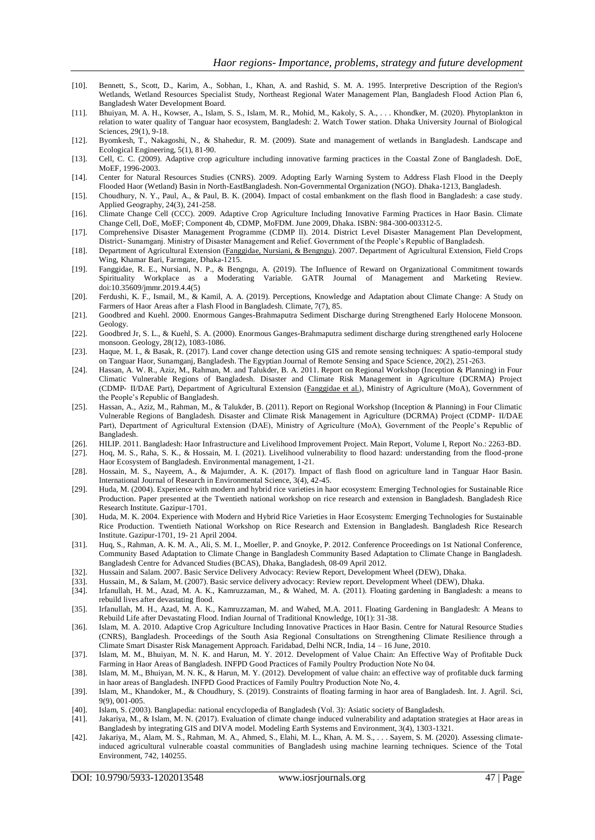- [10]. Bennett, S., Scott, D., Karim, A., Sobhan, I., Khan, A. and Rashid, S. M. A. 1995. Interpretive Description of the Region's Wetlands, Wetland Resources Specialist Study, Northeast Regional Water Management Plan, Bangladesh Flood Action Plan 6, Bangladesh Water Development Board.
- [11]. Bhuiyan, M. A. H., Kowser, A., Islam, S. S., Islam, M. R., Mohid, M., Kakoly, S. A., . . . Khondker, M. (2020). Phytoplankton in relation to water quality of Tanguar haor ecosystem, Bangladesh: 2. Watch Tower station. Dhaka University Journal of Biological Sciences, 29(1), 9-18.
- [12]. Byomkesh, T., Nakagoshi, N., & Shahedur, R. M. (2009). State and management of wetlands in Bangladesh. Landscape and Ecological Engineering, 5(1), 81-90.
- [13]. Cell, C. C. (2009). Adaptive crop agriculture including innovative farming practices in the Coastal Zone of Bangladesh. DoE, MoEF, 1996-2003.
- [14]. Center for Natural Resources Studies (CNRS). 2009. Adopting Early Warning System to Address Flash Flood in the Deeply Flooded Haor (Wetland) Basin in North-EastBangladesh. Non-Governmental Organization (NGO). Dhaka-1213, Bangladesh.
- [15]. Choudhury, N. Y., Paul, A., & Paul, B. K. (2004). Impact of costal embankment on the flash flood in Bangladesh: a case study. Applied Geography, 24(3), 241-258.
- [16]. Climate Change Cell (CCC). 2009. Adaptive Crop Agriculture Including Innovative Farming Practices in Haor Basin. Climate Change Cell, DoE, MoEF; Component 4b, CDMP, MoFDM. June 2009, Dhaka. ISBN: 984-300-003312-5.
- [17]. Comprehensive Disaster Management Programme (CDMP ll). 2014. District Level Disaster Management Plan Development, District- Sunamganj. Ministry of Disaster Management and Relief. Government of the People's Republic of Bangladesh.
- [18]. Department of Agricultural Extension (Fanggidae, Nursiani, & Bengngu). 2007. Department of Agricultural Extension, Field Crops Wing, Khamar Bari, Farmgate, Dhaka-1215.
- [19]. Fanggidae, R. E., Nursiani, N. P., & Bengngu, A. (2019). The Influence of Reward on Organizational Commitment towards Spirituality Workplace as a Moderating Variable. GATR Journal of Management and Marketing Review. doi:10.35609/jmmr.2019.4.4(5)
- [20]. Ferdushi, K. F., Ismail, M., & Kamil, A. A. (2019). Perceptions, Knowledge and Adaptation about Climate Change: A Study on Farmers of Haor Areas after a Flash Flood in Bangladesh. Climate, 7(7), 85.
- [21]. Goodbred and Kuehl. 2000. Enormous Ganges-Brahmaputra Sediment Discharge during Strengthened Early Holocene Monsoon. Geology.
- [22]. Goodbred Jr, S. L., & Kuehl, S. A. (2000). Enormous Ganges-Brahmaputra sediment discharge during strengthened early Holocene monsoon. Geology, 28(12), 1083-1086.
- [23]. Haque, M. I., & Basak, R. (2017). Land cover change detection using GIS and remote sensing techniques: A spatio-temporal study on Tanguar Haor, Sunamganj, Bangladesh. The Egyptian Journal of Remote Sensing and Space Science, 20(2), 251-263.
- [24]. Hassan, A. W. R., Aziz, M., Rahman, M. and Talukder, B. A. 2011. Report on Regional Workshop (Inception & Planning) in Four Climatic Vulnerable Regions of Bangladesh. Disaster and Climate Risk Management in Agriculture (DCRMA) Project (CDMP‐ II/DAE Part), Department of Agricultural Extension (Fanggidae et al.), Ministry of Agriculture (MoA), Government of the People's Republic of Bangladesh.
- [25]. Hassan, A., Aziz, M., Rahman, M., & Talukder, B. (2011). Report on Regional Workshop (Inception & Planning) in Four Climatic Vulnerable Regions of Bangladesh. Disaster and Climate Risk Management in Agriculture (DCRMA) Project (CDMP‐ II/DAE Part), Department of Agricultural Extension (DAE), Ministry of Agriculture (MoA), Government of the People's Republic of Bangladesh.
- [26]. HILIP. 2011. Bangladesh: Haor Infrastructure and Livelihood Improvement Project. Main Report, Volume I, Report No.: 2263-BD. [27]. Hoq, M. S., Raha, S. K., & Hossain, M. I. (2021). Livelihood vulnerability to flood hazard: understanding from the flood-prone
- Haor Ecosystem of Bangladesh. Environmental management, 1-21.
- [28]. Hossain, M. S., Nayeem, A., & Majumder, A. K. (2017). Impact of flash flood on agriculture land in Tanguar Haor Basin. International Journal of Research in Environmental Science, 3(4), 42-45.
- [29]. Huda, M. (2004). Experience with modern and hybrid rice varieties in haor ecosystem: Emerging Technologies for Sustainable Rice Production. Paper presented at the Twentieth national workshop on rice research and extension in Bangladesh. Bangladesh Rice Research Institute. Gazipur-1701.
- [30]. Huda, M. K. 2004. Experience with Modern and Hybrid Rice Varieties in Haor Ecosystem: Emerging Technologies for Sustainable Rice Production. Twentieth National Workshop on Rice Research and Extension in Bangladesh. Bangladesh Rice Research Institute. Gazipur-1701, 19- 21 April 2004.
- [31]. Huq, S., Rahman, A. K. M. A., Ali, S. M. I., Moeller, P. and Gnoyke, P. 2012. Conference Proceedings on 1st National Conference, Community Based Adaptation to Climate Change in Bangladesh Community Based Adaptation to Climate Change in Bangladesh. Bangladesh Centre for Advanced Studies (BCAS), Dhaka, Bangladesh, 08-09 April 2012.
- [32]. Hussain and Salam. 2007. Basic Service Delivery Advocacy: Review Report, Development Wheel (DEW), Dhaka.
- [33]. Hussain, M., & Salam, M. (2007). Basic service delivery advocacy: Review report. Development Wheel (DEW), Dhaka.
- [34]. Irfanullah, H. M., Azad, M. A. K., Kamruzzaman, M., & Wahed, M. A. (2011). Floating gardening in Bangladesh: a means to rebuild lives after devastating flood.
- [35]. Irfanullah, M. H., Azad, M. A. K., Kamruzzaman, M. and Wahed, M.A. 2011. Floating Gardening in Bangladesh: A Means to Rebuild Life after Devastating Flood. Indian Journal of Traditional Knowledge, 10(1): 31-38.
- [36]. Islam, M. A. 2010. Adaptive Crop Agriculture Including Innovative Practices in Haor Basin. Centre for Natural Resource Studies (CNRS), Bangladesh. Proceedings of the South Asia Regional Consultations on Strengthening Climate Resilience through a Climate Smart Disaster Risk Management Approach. Faridabad, Delhi NCR, India, 14 – 16 June, 2010.
- [37]. Islam, M. M., Bhuiyan, M. N. K. and Harun, M. Y. 2012. Development of Value Chain: An Effective Way of Profitable Duck Farming in Haor Areas of Bangladesh. INFPD Good Practices of Family Poultry Production Note No 04.
- [38]. Islam, M. M., Bhuiyan, M. N. K., & Harun, M. Y. (2012). Development of value chain: an effective way of profitable duck farming in haor areas of Bangladesh. INFPD Good Practices of Family Poultry Production Note No, 4.
- [39]. Islam, M., Khandoker, M., & Choudhury, S. (2019). Constraints of floating farming in haor area of Bangladesh. Int. J. Agril. Sci, 9(9), 001-005.
- [40]. Islam, S. (2003). Banglapedia: national encyclopedia of Bangladesh (Vol. 3): Asiatic society of Bangladesh.
- [41]. Jakariya, M., & Islam, M. N. (2017). Evaluation of climate change induced vulnerability and adaptation strategies at Haor areas in Bangladesh by integrating GIS and DIVA model. Modeling Earth Systems and Environment, 3(4), 1303-1321.
- [42]. Jakariya, M., Alam, M. S., Rahman, M. A., Ahmed, S., Elahi, M. L., Khan, A. M. S., . . . Sayem, S. M. (2020). Assessing climateinduced agricultural vulnerable coastal communities of Bangladesh using machine learning techniques. Science of the Total Environment, 742, 140255.